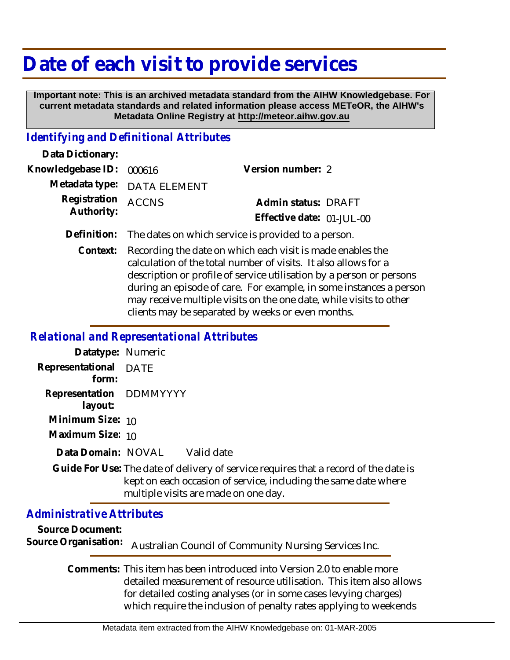## **Date of each visit to provide services**

 **Important note: This is an archived metadata standard from the AIHW Knowledgebase. For current metadata standards and related information please access METeOR, the AIHW's Metadata Online Registry at http://meteor.aihw.gov.au**

## *Identifying and Definitional Attributes*

| Data Dictionary:                 |                             |                                                     |  |
|----------------------------------|-----------------------------|-----------------------------------------------------|--|
| Knowledgebase ID: 000616         |                             | Version number: 2                                   |  |
|                                  | Metadata type: DATA ELEMENT |                                                     |  |
| Registration ACCNS<br>Authority: |                             | Admin status: DRAFT<br>Effective date: $01$ -JUL-00 |  |
|                                  |                             |                                                     |  |

**Definition:** The dates on which service is provided to a person.

Recording the date on which each visit is made enables the calculation of the total number of visits. It also allows for a description or profile of service utilisation by a person or persons during an episode of care. For example, in some instances a person may receive multiple visits on the one date, while visits to other clients may be separated by weeks or even months. **Context:**

## *Relational and Representational Attributes*

| Datatype: Numeric                           |      |            |
|---------------------------------------------|------|------------|
| Representational<br>form:                   | DATE |            |
| Representation DDMMYYYY<br>layout:          |      |            |
| Minimum Size: 10                            |      |            |
| Maximum Size: 10                            |      |            |
| Data Domain: NOVAL                          |      | Valid date |
| Guide For Use: The date of delivery of ser- |      |            |

vice requires that a record of the date is kept on each occasion of service, including the same date where multiple visits are made on one day. **Guide For Use:**

## *Administrative Attributes*

**Source Document:** Source Organisation: Australian Council of Community Nursing Services Inc.

> Comments: This item has been introduced into Version 2.0 to enable more detailed measurement of resource utilisation. This item also allows for detailed costing analyses (or in some cases levying charges) which require the inclusion of penalty rates applying to weekends